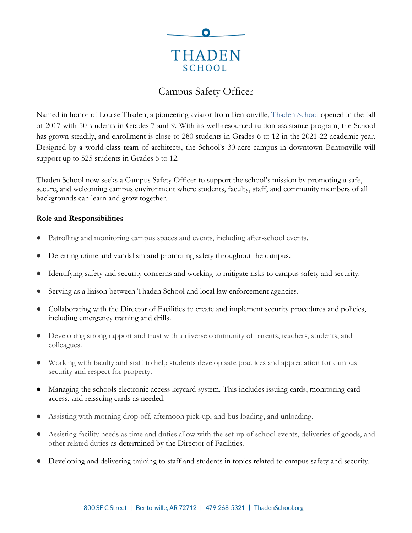

# Campus Safety Officer

Named in honor of Louise Thaden, a pioneering aviator from Bentonville, [Thaden School](https://thadenschool.org/) opened in the fall of 2017 with 50 students in Grades 7 and 9. With its well-resourced tuition assistance program, the School has grown steadily, and enrollment is close to 280 students in Grades 6 to 12 in the 2021-22 academic year. Designed by a world-class team of architects, the School's 30-acre campus in downtown Bentonville will support up to 525 students in Grades 6 to 12.

Thaden School now seeks a Campus Safety Officer to support the school's mission by promoting a safe, secure, and welcoming campus environment where students, faculty, staff, and community members of all backgrounds can learn and grow together.

## **Role and Responsibilities**

- Patrolling and monitoring campus spaces and events, including after-school events.
- Deterring crime and vandalism and promoting safety throughout the campus.
- Identifying safety and security concerns and working to mitigate risks to campus safety and security.
- Serving as a liaison between Thaden School and local law enforcement agencies.
- Collaborating with the Director of Facilities to create and implement security procedures and policies, including emergency training and drills.
- Developing strong rapport and trust with a diverse community of parents, teachers, students, and colleagues.
- Working with faculty and staff to help students develop safe practices and appreciation for campus security and respect for property.
- Managing the schools electronic access keycard system. This includes issuing cards, monitoring card access, and reissuing cards as needed.
- Assisting with morning drop-off, afternoon pick-up, and bus loading, and unloading.
- Assisting facility needs as time and duties allow with the set-up of school events, deliveries of goods, and other related duties as determined by the Director of Facilities.
- Developing and delivering training to staff and students in topics related to campus safety and security.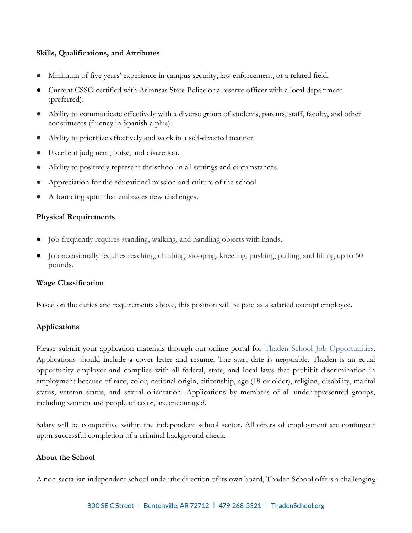## **Skills, Qualifications, and Attributes**

- Minimum of five years' experience in campus security, law enforcement, or a related field.
- Current CSSO certified with Arkansas State Police or a reserve officer with a local department (preferred).
- Ability to communicate effectively with a diverse group of students, parents, staff, faculty, and other constituents (fluency in Spanish a plus).
- Ability to prioritize effectively and work in a self-directed manner.
- Excellent judgment, poise, and discretion.
- Ability to positively represent the school in all settings and circumstances.
- Appreciation for the educational mission and culture of the school.
- A founding spirit that embraces new challenges.

## **Physical Requirements**

- Job frequently requires standing, walking, and handling objects with hands.
- Job occasionally requires reaching, climbing, stooping, kneeling, pushing, pulling, and lifting up to 50 pounds.

#### **Wage Classification**

Based on the duties and requirements above, this position will be paid as a salaried exempt employee.

#### **Applications**

Please submit your application materials through our online portal for Thaden School [Job Opportunities.](https://www.paycomonline.net/v4/ats/web.php/jobs?clientkey=E412B6EED165D3FD16DB0FF91E74B10C&session_nonce=915852c58367eb064b1ae3ce5464ff79) Applications should include a cover letter and resume. The start date is negotiable. Thaden is an equal opportunity employer and complies with all federal, state, and local laws that prohibit discrimination in employment because of race, color, national origin, citizenship, age (18 or older), religion, disability, marital status, veteran status, and sexual orientation. Applications by members of all underrepresented groups, including women and people of color, are encouraged.

Salary will be competitive within the independent school sector. All offers of employment are contingent upon successful completion of a criminal background check.

## **About the School**

A non-sectarian independent school under the direction of its own board, Thaden School offers a challenging